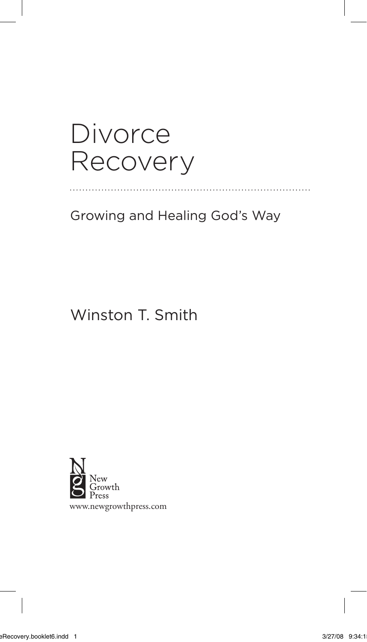# Divorce Recovery

Growing and Healing God's Way

# Winston T. Smith



www.newgrowthpress.com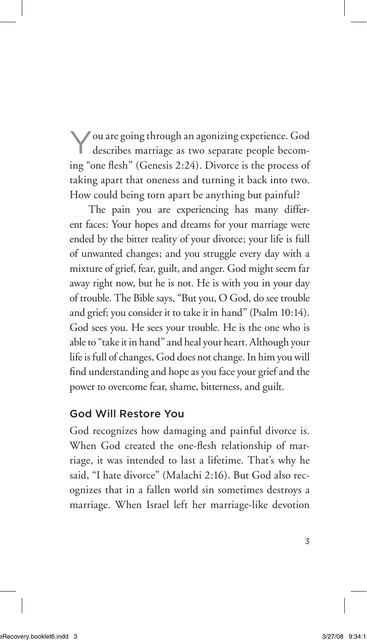You are going through an agonizing experience. God describes marriage as two separate people becoming "one flesh" (Genesis 2:24). Divorce is the process of taking apart that oneness and turning it back into two. How could being torn apart be anything but painful?

The pain you are experiencing has many different faces: Your hopes and dreams for your marriage were ended by the bitter reality of your divorce; your life is full of unwanted changes; and you struggle every day with a mixture of grief, fear, guilt, and anger. God might seem far away right now, but he is not. He is with you in your day of trouble. The Bible says, "But you, O God, do see trouble and grief; you consider it to take it in hand" (Psalm 10:14). God sees you. He sees your trouble. He is the one who is able to "take it in hand" and heal your heart. Although your life is full of changes, God does not change. In him you will find understanding and hope as you face your grief and the power to overcome fear, shame, bitterness, and guilt.

#### God Will Restore You

God recognizes how damaging and painful divorce is. When God created the one-flesh relationship of marriage, it was intended to last a lifetime. That's why he said, "I hate divorce" (Malachi 2:16). But God also recognizes that in a fallen world sin sometimes destroys a marriage. When Israel left her marriage-like devotion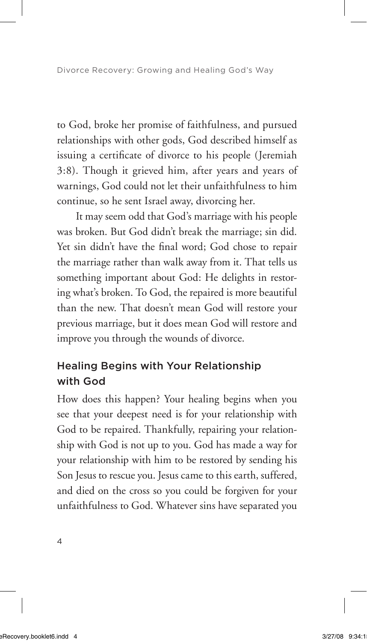to God, broke her promise of faithfulness, and pursued relationships with other gods, God described himself as issuing a certificate of divorce to his people (Jeremiah 3:8). Though it grieved him, after years and years of warnings, God could not let their unfaithfulness to him continue, so he sent Israel away, divorcing her.

It may seem odd that God's marriage with his people was broken. But God didn't break the marriage; sin did. Yet sin didn't have the final word; God chose to repair the marriage rather than walk away from it. That tells us something important about God: He delights in restoring what's broken. To God, the repaired is more beautiful than the new. That doesn't mean God will restore your previous marriage, but it does mean God will restore and improve you through the wounds of divorce.

## Healing Begins with Your Relationship with God

How does this happen? Your healing begins when you see that your deepest need is for your relationship with God to be repaired. Thankfully, repairing your relationship with God is not up to you. God has made a way for your relationship with him to be restored by sending his Son Jesus to rescue you. Jesus came to this earth, suffered, and died on the cross so you could be forgiven for your unfaithfulness to God. Whatever sins have separated you